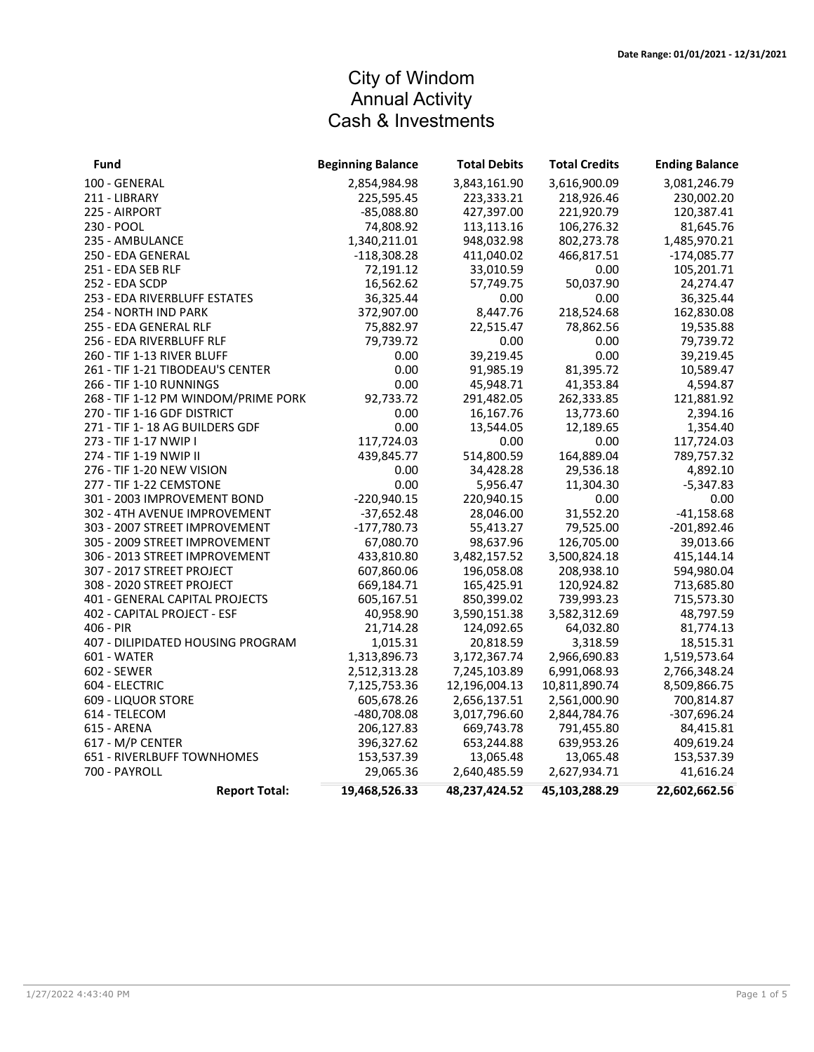## City of Windom Annual Activity Cash & Investments

| Fund                                | <b>Beginning Balance</b> | <b>Total Debits</b> | <b>Total Credits</b> | <b>Ending Balance</b> |
|-------------------------------------|--------------------------|---------------------|----------------------|-----------------------|
| 100 - GENERAL                       | 2,854,984.98             | 3,843,161.90        | 3,616,900.09         | 3,081,246.79          |
| 211 - LIBRARY                       | 225,595.45               | 223,333.21          | 218,926.46           | 230,002.20            |
| 225 - AIRPORT                       | $-85,088.80$             | 427,397.00          | 221,920.79           | 120,387.41            |
| 230 - POOL                          | 74,808.92                | 113,113.16          | 106,276.32           | 81,645.76             |
| 235 - AMBULANCE                     | 1,340,211.01             | 948,032.98          | 802,273.78           | 1,485,970.21          |
| 250 - EDA GENERAL                   | $-118,308.28$            | 411,040.02          | 466,817.51           | $-174,085.77$         |
| 251 - EDA SEB RLF                   | 72,191.12                | 33,010.59           | 0.00                 | 105,201.71            |
| 252 - EDA SCDP                      | 16,562.62                | 57,749.75           | 50,037.90            | 24,274.47             |
| 253 - EDA RIVERBLUFF ESTATES        | 36,325.44                | 0.00                | 0.00                 | 36,325.44             |
| 254 - NORTH IND PARK                | 372,907.00               | 8,447.76            | 218,524.68           | 162,830.08            |
| 255 - EDA GENERAL RLF               | 75,882.97                | 22,515.47           | 78,862.56            | 19,535.88             |
| 256 - EDA RIVERBLUFF RLF            | 79,739.72                | 0.00                | 0.00                 | 79,739.72             |
| 260 - TIF 1-13 RIVER BLUFF          | 0.00                     | 39,219.45           | 0.00                 | 39,219.45             |
| 261 - TIF 1-21 TIBODEAU'S CENTER    | 0.00                     | 91,985.19           | 81,395.72            | 10,589.47             |
| 266 - TIF 1-10 RUNNINGS             | 0.00                     | 45,948.71           | 41,353.84            | 4,594.87              |
| 268 - TIF 1-12 PM WINDOM/PRIME PORK | 92,733.72                | 291,482.05          | 262,333.85           | 121,881.92            |
| 270 - TIF 1-16 GDF DISTRICT         | 0.00                     | 16,167.76           | 13,773.60            | 2,394.16              |
| 271 - TIF 1-18 AG BUILDERS GDF      | 0.00                     | 13,544.05           | 12,189.65            | 1,354.40              |
| 273 - TIF 1-17 NWIP I               | 117,724.03               | 0.00                | 0.00                 | 117,724.03            |
| 274 - TIF 1-19 NWIP II              | 439,845.77               | 514,800.59          | 164,889.04           | 789,757.32            |
| 276 - TIF 1-20 NEW VISION           | 0.00                     | 34,428.28           | 29,536.18            | 4,892.10              |
| 277 - TIF 1-22 CEMSTONE             | 0.00                     | 5,956.47            | 11,304.30            | $-5,347.83$           |
| 301 - 2003 IMPROVEMENT BOND         | $-220,940.15$            | 220,940.15          | 0.00                 | 0.00                  |
| 302 - 4TH AVENUE IMPROVEMENT        | $-37,652.48$             | 28,046.00           | 31,552.20            | $-41,158.68$          |
| 303 - 2007 STREET IMPROVEMENT       | $-177,780.73$            | 55,413.27           | 79,525.00            | $-201,892.46$         |
| 305 - 2009 STREET IMPROVEMENT       | 67,080.70                | 98,637.96           | 126,705.00           | 39,013.66             |
| 306 - 2013 STREET IMPROVEMENT       | 433,810.80               | 3,482,157.52        | 3,500,824.18         | 415,144.14            |
| 307 - 2017 STREET PROJECT           | 607,860.06               | 196,058.08          | 208,938.10           | 594,980.04            |
| 308 - 2020 STREET PROJECT           | 669,184.71               | 165,425.91          | 120,924.82           | 713,685.80            |
| 401 - GENERAL CAPITAL PROJECTS      | 605,167.51               | 850,399.02          | 739,993.23           | 715,573.30            |
| 402 - CAPITAL PROJECT - ESF         | 40,958.90                | 3,590,151.38        | 3,582,312.69         | 48,797.59             |
| 406 - PIR                           | 21,714.28                | 124,092.65          | 64,032.80            | 81,774.13             |
| 407 - DILIPIDATED HOUSING PROGRAM   | 1,015.31                 | 20,818.59           | 3,318.59             | 18,515.31             |
| 601 - WATER                         | 1,313,896.73             | 3,172,367.74        | 2,966,690.83         | 1,519,573.64          |
| 602 - SEWER                         | 2,512,313.28             | 7,245,103.89        | 6,991,068.93         | 2,766,348.24          |
| 604 - ELECTRIC                      | 7,125,753.36             | 12,196,004.13       | 10,811,890.74        | 8,509,866.75          |
| 609 - LIQUOR STORE                  | 605,678.26               | 2,656,137.51        | 2,561,000.90         | 700,814.87            |
| 614 - TELECOM                       | -480,708.08              | 3,017,796.60        | 2,844,784.76         | -307,696.24           |
| 615 - ARENA                         | 206,127.83               | 669,743.78          | 791,455.80           | 84,415.81             |
| 617 - M/P CENTER                    | 396,327.62               | 653,244.88          | 639,953.26           | 409,619.24            |
| 651 - RIVERLBUFF TOWNHOMES          | 153,537.39               | 13,065.48           | 13,065.48            | 153,537.39            |
| 700 - PAYROLL                       | 29,065.36                | 2,640,485.59        | 2,627,934.71         | 41,616.24             |
| <b>Report Total:</b>                | 19,468,526.33            | 48,237,424.52       | 45,103,288.29        | 22,602,662.56         |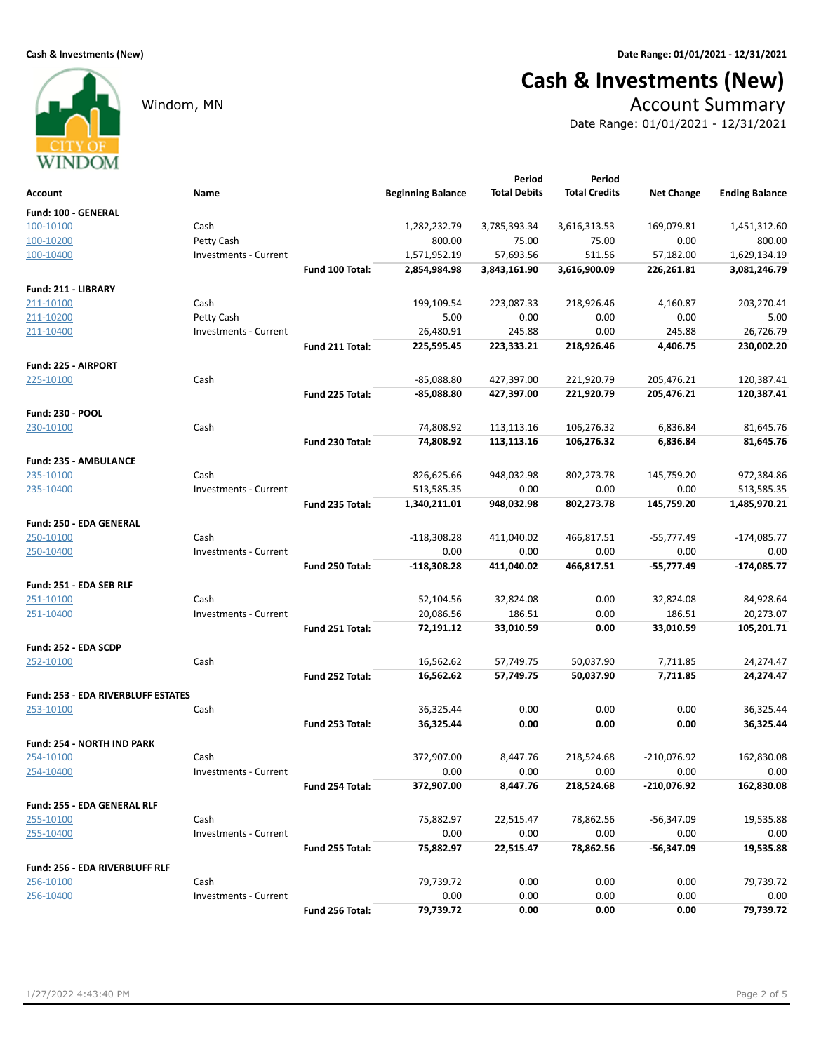# Cash & Investments (New)

### Windom, MN Account Summary

Date Range: 01/01/2021 - 12/31/2021

WINDOM Period Period Beginning Balance Total Debits Total Credits Net Change Ending Balance Total Debits Account Name Fund: 100 - GENERAL 100-10100 Cash 1,282,232.79 1,451,312.60 3,785,393.34 3,616,313.53 169,079.81 100-10200 Petty Cash 800.00 800.00 75.00 75.00 0.00 100-10400 **Investments - Current 1,571,952.19** 57,693.56 511.56 57,182.00 1,629,134.19 Fund 100 Total: 2,854,984.98 3,843,161.90 3,616,900.09 226,261.81 3,081,246.79 Fund: 211 - LIBRARY 211-10100 Cash 199,109.54 203,270.41 223,087.33 218,926.46 4,160.87 211-10200 **Petty Cash 6.00** Petty Cash 5.00 5.00 0.00 0.00 0.00 0.00 0.00 5.00 211-10400 **Investments - Current** 26,480.91 245.88 0.00 245.88 26,726.79 Fund 211 Total: 225,595.45 223,333.21 218,926.46 4,406.75 230,002.20 Fund: 225 - AIRPORT  $\frac{225 \cdot 10100}{225 \cdot 10100}$  Cash Cash Cash Cash Cash  $-85,088.80$   $-427,397.00$   $221,920.79$   $205,476.21$   $120,387.41$ Fund 225 Total: -85,088.80 120,387.41 427,397.00 205,476.21 221,920.79 Fund: 230 - POOL 230-10100 Cash Cash Cash 230-10100 Cash Cash Cash 230-10100 Cash Cash 24,808.92 113,113.16 106,276.32 6,836.84 Fund 230 Total: 74,808.92 81,645.76 113,113.16 6,836.84 106,276.32 Fund: 235 - AMBULANCE ergisted by the Cash Cash Cash 826,625.66 948,032.98 802,273.78 145,759.20 972,384.86 235-10400 **Investments - Current** 1 100 513,585.35 0.00 0.00 0.00 0.00 513,585.35 Fund 235 Total: 1,340,211.01 948,032.98 802,273.78 145,759.20 1,485,970.21 Fund: 250 - EDA GENERAL 250-10100 Cash Cash Cash -118,308.28 411,040.02 466,817.51 -55,777.49 -174,085.77 250-10400 Investments - Current 0.00 0.00 0.00 0.00 0.00 Fund 250 Total: <sup>-118,308.28</sup> 411,040.02 466,817.51 -55,777.49 -174,085.77 Fund: 251 - EDA SEB RLF 251-10100 Cash 52,104.56 84,928.64 32,824.08 0.00 32,824.08 251-10400 **Investments - Current 20,086.56** 20,086.56 186.51 0.00 186.51 20,273.07 Fund 251 Total: **72,191.12** 33,010.59 0.00 33,010.59 105,201.71 Fund: 252 - EDA SCDP 252-10100 Cash 16,562.62 24,274.47 57,749.75 50,037.90 7,711.85 Fund 252 Total: **16,562.62** 57,749.75 50,037.90 7,711.85 24,274.47 Fund: 253 - EDA RIVERBLUFF ESTATES 253-10100 Cash 36,325.44 36,325.44 0.00 0.00 0.00 Fund 253 Total: 36,325.44 0.00 0.00 0.00 0.00 36,325.44 Fund: 254 - NORTH IND PARK 254-10100 Cash 372,907.00 162,830.08 8,447.76 218,524.68 -210,076.92 254-10400 Investments - Current 0.00 0.00 0.00 0.00 0.00 Fund 254 Total: 372,907.00 8,447.76 218,524.68 -210,076.92 162,830.08 Fund: 255 - EDA GENERAL RLF 255-10100 Cash 75,882.97 19,535.88 22,515.47 78,862.56 -56,347.09 255-10400 Investments - Current 0.00 0.00 0.00 0.00 0.00 Fund 255 Total: 75,882.97 19,535.88 22,515.47 -56,347.09 78,862.56 Fund: 256 - EDA RIVERBLUFF RLF 256-10100 Cash 79,739.72 79,739.72 0.00 0.00 0.00 256-10400 Investments - Current 0.00 0.00 0.00 0.00 0.00 Fund 256 Total: 79,739.72 79,739.72 0.00 0.00 0.00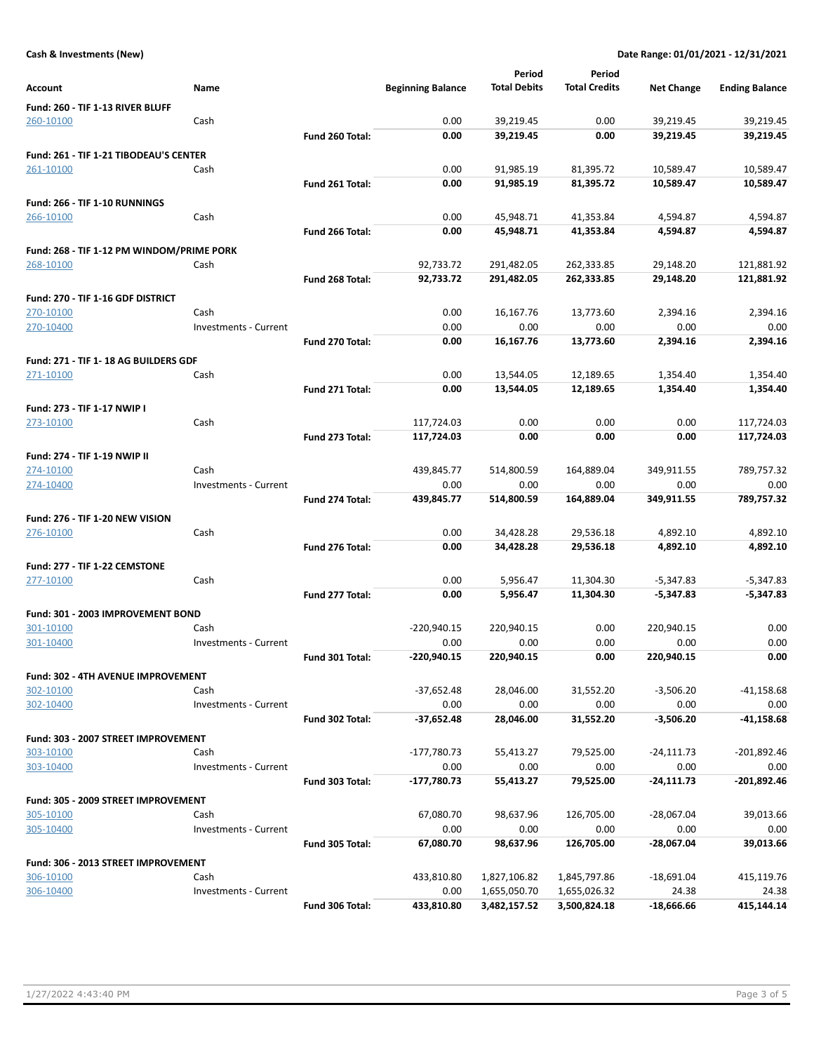### Cash & Investments (New) Date Range: 01/01/2021 - 12/31/2021

|                                                  |                       |                 |                          | Period              | Period               |                   |                       |
|--------------------------------------------------|-----------------------|-----------------|--------------------------|---------------------|----------------------|-------------------|-----------------------|
| Account                                          | Name                  |                 | <b>Beginning Balance</b> | <b>Total Debits</b> | <b>Total Credits</b> | <b>Net Change</b> | <b>Ending Balance</b> |
|                                                  |                       |                 |                          |                     |                      |                   |                       |
| Fund: 260 - TIF 1-13 RIVER BLUFF<br>260-10100    | Cash                  |                 | 0.00                     | 39,219.45           | 0.00                 | 39,219.45         | 39,219.45             |
|                                                  |                       | Fund 260 Total: | 0.00                     | 39,219.45           | 0.00                 | 39,219.45         | 39,219.45             |
|                                                  |                       |                 |                          |                     |                      |                   |                       |
| Fund: 261 - TIF 1-21 TIBODEAU'S CENTER           |                       |                 |                          |                     |                      |                   |                       |
| 261-10100                                        | Cash                  |                 | 0.00                     | 91,985.19           | 81,395.72            | 10,589.47         | 10,589.47             |
|                                                  |                       | Fund 261 Total: | 0.00                     | 91,985.19           | 81,395.72            | 10,589.47         | 10,589.47             |
| Fund: 266 - TIF 1-10 RUNNINGS                    |                       |                 |                          |                     |                      |                   |                       |
| 266-10100                                        | Cash                  |                 | 0.00                     | 45,948.71           | 41,353.84            | 4,594.87          | 4,594.87              |
|                                                  |                       | Fund 266 Total: | 0.00                     | 45,948.71           | 41,353.84            | 4,594.87          | 4,594.87              |
| Fund: 268 - TIF 1-12 PM WINDOM/PRIME PORK        |                       |                 |                          |                     |                      |                   |                       |
| 268-10100                                        | Cash                  |                 | 92,733.72                | 291,482.05          | 262,333.85           | 29,148.20         | 121,881.92            |
|                                                  |                       | Fund 268 Total: | 92,733.72                | 291,482.05          | 262,333.85           | 29,148.20         | 121,881.92            |
|                                                  |                       |                 |                          |                     |                      |                   |                       |
| Fund: 270 - TIF 1-16 GDF DISTRICT                |                       |                 |                          |                     |                      |                   |                       |
| 270-10100                                        | Cash                  |                 | 0.00                     | 16,167.76           | 13,773.60            | 2,394.16          | 2,394.16              |
| 270-10400                                        | Investments - Current |                 | 0.00                     | 0.00                | 0.00                 | 0.00              | 0.00                  |
|                                                  |                       | Fund 270 Total: | 0.00                     | 16,167.76           | 13,773.60            | 2,394.16          | 2,394.16              |
| Fund: 271 - TIF 1-18 AG BUILDERS GDF             |                       |                 |                          |                     |                      |                   |                       |
| 271-10100                                        | Cash                  |                 | 0.00                     | 13,544.05           | 12,189.65            | 1,354.40          | 1,354.40              |
|                                                  |                       | Fund 271 Total: | 0.00                     | 13.544.05           | 12,189.65            | 1,354.40          | 1,354.40              |
| Fund: 273 - TIF 1-17 NWIP I                      |                       |                 |                          |                     |                      |                   |                       |
| 273-10100                                        | Cash                  |                 | 117,724.03               | 0.00                | 0.00                 | 0.00              | 117,724.03            |
|                                                  |                       | Fund 273 Total: | 117,724.03               | 0.00                | 0.00                 | 0.00              | 117,724.03            |
|                                                  |                       |                 |                          |                     |                      |                   |                       |
| Fund: 274 - TIF 1-19 NWIP II                     | Cash                  |                 | 439,845.77               | 514,800.59          | 164,889.04           | 349,911.55        | 789,757.32            |
| 274-10100<br>274-10400                           | Investments - Current |                 | 0.00                     | 0.00                | 0.00                 | 0.00              | 0.00                  |
|                                                  |                       | Fund 274 Total: | 439,845.77               | 514,800.59          | 164,889.04           | 349,911.55        | 789,757.32            |
|                                                  |                       |                 |                          |                     |                      |                   |                       |
| Fund: 276 - TIF 1-20 NEW VISION                  |                       |                 |                          |                     |                      |                   |                       |
| 276-10100                                        | Cash                  |                 | 0.00                     | 34,428.28           | 29,536.18            | 4,892.10          | 4,892.10              |
|                                                  |                       | Fund 276 Total: | 0.00                     | 34,428.28           | 29,536.18            | 4,892.10          | 4,892.10              |
| Fund: 277 - TIF 1-22 CEMSTONE                    |                       |                 |                          |                     |                      |                   |                       |
| 277-10100                                        | Cash                  |                 | 0.00                     | 5,956.47            | 11,304.30            | $-5,347.83$       | $-5,347.83$           |
|                                                  |                       | Fund 277 Total: | 0.00                     | 5,956.47            | 11,304.30            | $-5,347.83$       | $-5,347.83$           |
| Fund: 301 - 2003 IMPROVEMENT BOND                |                       |                 |                          |                     |                      |                   |                       |
| 301-10100                                        | Cash                  |                 | -220,940.15              | 220,940.15          | 0.00                 | 220,940.15        | 0.00                  |
| 301-10400                                        | Investments - Current |                 | 0.00                     | 0.00                | 0.00                 | 0.00              | 0.00                  |
|                                                  |                       | Fund 301 Total: | $-220,940.15$            | 220,940.15          | 0.00                 | 220,940.15        | 0.00                  |
|                                                  |                       |                 |                          |                     |                      |                   |                       |
| Fund: 302 - 4TH AVENUE IMPROVEMENT               |                       |                 |                          |                     |                      |                   |                       |
| 302-10100                                        | Cash                  |                 | $-37,652.48$             | 28,046.00           | 31,552.20            | $-3,506.20$       | $-41,158.68$          |
| 302-10400                                        | Investments - Current |                 | 0.00                     | 0.00                | 0.00                 | 0.00              | 0.00                  |
|                                                  |                       | Fund 302 Total: | $-37,652.48$             | 28,046.00           | 31,552.20            | $-3,506.20$       | $-41,158.68$          |
| Fund: 303 - 2007 STREET IMPROVEMENT              |                       |                 |                          |                     |                      |                   |                       |
| 303-10100                                        | Cash                  |                 | -177,780.73              | 55,413.27           | 79,525.00            | $-24,111.73$      | -201,892.46           |
| 303-10400                                        | Investments - Current |                 | 0.00                     | 0.00                | 0.00                 | 0.00              | 0.00                  |
|                                                  |                       | Fund 303 Total: | $-177,780.73$            | 55,413.27           | 79,525.00            | $-24,111.73$      | -201,892.46           |
| Fund: 305 - 2009 STREET IMPROVEMENT              |                       |                 |                          |                     |                      |                   |                       |
| 305-10100                                        | Cash                  |                 | 67,080.70                | 98,637.96           | 126,705.00           | $-28,067.04$      | 39,013.66             |
| 305-10400                                        | Investments - Current |                 | 0.00                     | 0.00                | 0.00                 | 0.00              | 0.00                  |
|                                                  |                       | Fund 305 Total: | 67,080.70                | 98,637.96           | 126,705.00           | -28,067.04        | 39,013.66             |
|                                                  |                       |                 |                          |                     |                      |                   |                       |
| Fund: 306 - 2013 STREET IMPROVEMENT<br>306-10100 | Cash                  |                 | 433,810.80               | 1,827,106.82        | 1,845,797.86         | $-18,691.04$      | 415,119.76            |
| 306-10400                                        | Investments - Current |                 | 0.00                     | 1,655,050.70        | 1,655,026.32         | 24.38             | 24.38                 |
|                                                  |                       | Fund 306 Total: | 433,810.80               | 3,482,157.52        | 3,500,824.18         | $-18,666.66$      | 415,144.14            |
|                                                  |                       |                 |                          |                     |                      |                   |                       |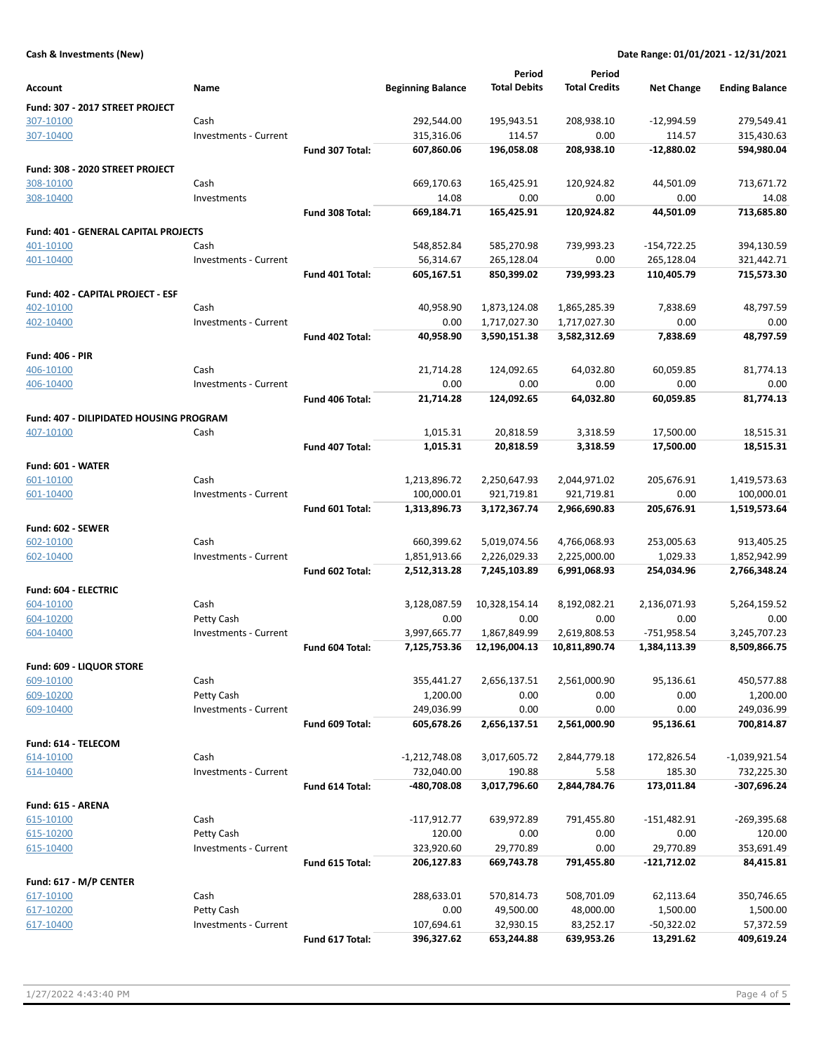### Cash & Investments (New) Date Range: 01/01/2021 - 12/31/2021

|                                         |                              |                 |                          | Period                 | Period               |                        |                          |
|-----------------------------------------|------------------------------|-----------------|--------------------------|------------------------|----------------------|------------------------|--------------------------|
| Account                                 | Name                         |                 | <b>Beginning Balance</b> | <b>Total Debits</b>    | <b>Total Credits</b> | <b>Net Change</b>      | <b>Ending Balance</b>    |
| Fund: 307 - 2017 STREET PROJECT         |                              |                 |                          |                        |                      |                        |                          |
| 307-10100                               | Cash                         |                 | 292,544.00               | 195,943.51             | 208,938.10           | $-12,994.59$           | 279,549.41               |
| 307-10400                               | Investments - Current        |                 | 315,316.06               | 114.57                 | 0.00                 | 114.57                 | 315,430.63               |
|                                         |                              | Fund 307 Total: | 607,860.06               | 196,058.08             | 208,938.10           | $-12,880.02$           | 594,980.04               |
|                                         |                              |                 |                          |                        |                      |                        |                          |
| Fund: 308 - 2020 STREET PROJECT         |                              |                 |                          |                        |                      |                        |                          |
| 308-10100                               | Cash                         |                 | 669,170.63               | 165,425.91             | 120,924.82           | 44,501.09              | 713,671.72               |
| 308-10400                               | Investments                  |                 | 14.08                    | 0.00                   | 0.00<br>120,924.82   | 0.00                   | 14.08                    |
|                                         |                              | Fund 308 Total: | 669,184.71               | 165,425.91             |                      | 44,501.09              | 713,685.80               |
| Fund: 401 - GENERAL CAPITAL PROJECTS    |                              |                 |                          |                        |                      |                        |                          |
| 401-10100                               | Cash                         |                 | 548,852.84               | 585,270.98             | 739,993.23           | $-154,722.25$          | 394,130.59               |
| 401-10400                               | <b>Investments - Current</b> |                 | 56,314.67                | 265,128.04             | 0.00                 | 265,128.04             | 321,442.71               |
|                                         |                              | Fund 401 Total: | 605,167.51               | 850,399.02             | 739,993.23           | 110,405.79             | 715,573.30               |
| Fund: 402 - CAPITAL PROJECT - ESF       |                              |                 |                          |                        |                      |                        |                          |
| 402-10100                               | Cash                         |                 | 40,958.90                | 1,873,124.08           | 1,865,285.39         | 7,838.69               | 48,797.59                |
| 402-10400                               | Investments - Current        |                 | 0.00                     | 1,717,027.30           | 1,717,027.30         | 0.00                   | 0.00                     |
|                                         |                              | Fund 402 Total: | 40,958.90                | 3,590,151.38           | 3,582,312.69         | 7,838.69               | 48,797.59                |
| <b>Fund: 406 - PIR</b>                  |                              |                 |                          |                        |                      |                        |                          |
| 406-10100                               | Cash                         |                 | 21,714.28                | 124,092.65             | 64,032.80            | 60,059.85              | 81,774.13                |
| 406-10400                               | Investments - Current        |                 | 0.00                     | 0.00                   | 0.00                 | 0.00                   | 0.00                     |
|                                         |                              | Fund 406 Total: | 21,714.28                | 124,092.65             | 64,032.80            | 60,059.85              | 81,774.13                |
|                                         |                              |                 |                          |                        |                      |                        |                          |
| Fund: 407 - DILIPIDATED HOUSING PROGRAM |                              |                 |                          |                        |                      |                        |                          |
| 407-10100                               | Cash                         | Fund 407 Total: | 1,015.31<br>1,015.31     | 20,818.59<br>20,818.59 | 3,318.59<br>3,318.59 | 17,500.00<br>17,500.00 | 18,515.31<br>18,515.31   |
|                                         |                              |                 |                          |                        |                      |                        |                          |
| Fund: 601 - WATER                       |                              |                 |                          |                        |                      |                        |                          |
| 601-10100                               | Cash                         |                 | 1,213,896.72             | 2,250,647.93           | 2,044,971.02         | 205,676.91             | 1,419,573.63             |
| 601-10400                               | Investments - Current        |                 | 100,000.01               | 921,719.81             | 921,719.81           | 0.00                   | 100,000.01               |
|                                         |                              | Fund 601 Total: | 1,313,896.73             | 3,172,367.74           | 2,966,690.83         | 205,676.91             | 1,519,573.64             |
| Fund: 602 - SEWER                       |                              |                 |                          |                        |                      |                        |                          |
| 602-10100                               | Cash                         |                 | 660,399.62               | 5,019,074.56           | 4,766,068.93         | 253,005.63             | 913,405.25               |
| 602-10400                               | Investments - Current        |                 | 1,851,913.66             | 2,226,029.33           | 2,225,000.00         | 1,029.33               | 1,852,942.99             |
|                                         |                              | Fund 602 Total: | 2,512,313.28             | 7,245,103.89           | 6,991,068.93         | 254,034.96             | 2,766,348.24             |
| Fund: 604 - ELECTRIC                    |                              |                 |                          |                        |                      |                        |                          |
| 604-10100                               | Cash                         |                 | 3,128,087.59             | 10,328,154.14          | 8,192,082.21         | 2,136,071.93           | 5,264,159.52             |
| 604-10200                               | Petty Cash                   |                 | 0.00                     | 0.00                   | 0.00                 | 0.00                   | 0.00                     |
| 604-10400                               | Investments - Current        |                 | 3,997,665.77             | 1,867,849.99           | 2,619,808.53         | $-751,958.54$          | 3,245,707.23             |
|                                         |                              | Fund 604 Total: | 7,125,753.36             | 12,196,004.13          | 10,811,890.74        | 1,384,113.39           | 8,509,866.75             |
|                                         |                              |                 |                          |                        |                      |                        |                          |
| Fund: 609 - LIQUOR STORE                |                              |                 |                          |                        |                      |                        |                          |
| 609-10100                               | Cash                         |                 | 355,441.27               | 2,656,137.51           | 2,561,000.90         | 95,136.61              | 450,577.88               |
| 609-10200                               | Petty Cash                   |                 | 1,200.00                 | 0.00                   | 0.00                 | 0.00                   | 1,200.00                 |
| 609-10400                               | Investments - Current        |                 | 249,036.99               | 0.00<br>2,656,137.51   | 0.00<br>2,561,000.90 | 0.00<br>95,136.61      | 249,036.99<br>700,814.87 |
|                                         |                              | Fund 609 Total: | 605,678.26               |                        |                      |                        |                          |
| Fund: 614 - TELECOM                     |                              |                 |                          |                        |                      |                        |                          |
| 614-10100                               | Cash                         |                 | $-1,212,748.08$          | 3,017,605.72           | 2,844,779.18         | 172,826.54             | -1,039,921.54            |
| 614-10400                               | Investments - Current        |                 | 732,040.00               | 190.88                 | 5.58                 | 185.30                 | 732,225.30               |
|                                         |                              | Fund 614 Total: | -480,708.08              | 3,017,796.60           | 2,844,784.76         | 173,011.84             | $-307,696.24$            |
| Fund: 615 - ARENA                       |                              |                 |                          |                        |                      |                        |                          |
| 615-10100                               | Cash                         |                 | $-117,912.77$            | 639,972.89             | 791,455.80           | -151,482.91            | $-269,395.68$            |
| 615-10200                               | Petty Cash                   |                 | 120.00                   | 0.00                   | 0.00                 | 0.00                   | 120.00                   |
| 615-10400                               | Investments - Current        |                 | 323,920.60               | 29,770.89              | 0.00                 | 29,770.89              | 353,691.49               |
|                                         |                              | Fund 615 Total: | 206,127.83               | 669,743.78             | 791,455.80           | $-121,712.02$          | 84,415.81                |
| Fund: 617 - M/P CENTER                  |                              |                 |                          |                        |                      |                        |                          |
| 617-10100                               | Cash                         |                 | 288,633.01               | 570,814.73             | 508,701.09           | 62,113.64              | 350,746.65               |
| 617-10200                               | Petty Cash                   |                 | 0.00                     | 49,500.00              | 48,000.00            | 1,500.00               | 1,500.00                 |
| 617-10400                               | Investments - Current        |                 | 107,694.61               | 32,930.15              | 83,252.17            | -50,322.02             | 57,372.59                |
|                                         |                              | Fund 617 Total: | 396,327.62               | 653,244.88             | 639,953.26           | 13,291.62              | 409,619.24               |
|                                         |                              |                 |                          |                        |                      |                        |                          |